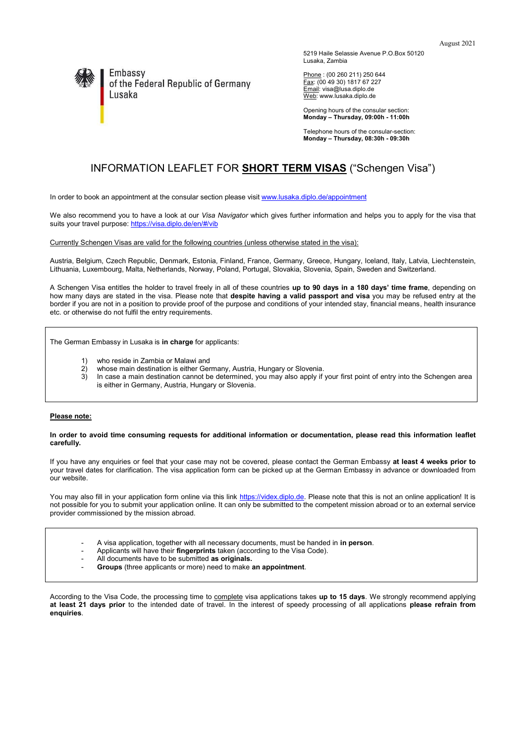

Embassy of the Federal Republic of Germany Lusaka

5219 Haile Selassie Avenue P.O.Box 50120 Lusaka, Zambia

Phone : (00 260 211) 250 644 <u>Fax</u>: (00 49 30) 1817 67 227 Email: visa@lusa.diplo.de Web[: www.lusaka.diplo.de](http://www.lusaka.diplo.de/)

Opening hours of the consular section: **Monday – Thursday, 09:00h - 11:00h**

Telephone hours of the consular-section: **Monday – Thursday, 08:30h - 09:30h**

# INFORMATION LEAFLET FOR **SHORT TERM VISAS** ("Schengen Visa")

In order to book an appointment at the consular section please visi[t www.lusaka.diplo.de/appointment](https://lusaka.diplo.de/zm-en/service/-/2409892)

We also recommend you to have a look at our *Visa Navigator* which gives further information and helps you to apply for the visa that suits your travel purpose[: https://visa.diplo.de/en/#/vib](https://visa.diplo.de/en/#/vib)

Currently Schengen Visas are valid for the following countries (unless otherwise stated in the visa):

Austria, Belgium, Czech Republic, Denmark, Estonia, Finland, France, Germany, Greece, Hungary, Iceland, Italy, Latvia, Liechtenstein, Lithuania, Luxembourg, Malta, Netherlands, Norway, Poland, Portugal, Slovakia, Slovenia, Spain, Sweden and Switzerland.

A Schengen Visa entitles the holder to travel freely in all of these countries **up to 90 days in a 180 days' time frame**, depending on how many days are stated in the visa. Please note that **despite having a valid passport and visa** you may be refused entry at the border if you are not in a position to provide proof of the purpose and conditions of your intended stay, financial means, health insurance etc. or otherwise do not fulfil the entry requirements.

The German Embassy in Lusaka is **in charge** for applicants:

- 1) who reside in Zambia or Malawi and
- 
- 2) whose main destination is either Germany, Austria, Hungary or Slovenia.<br>3) In case a main destination cannot be determined, you may also apply if In case a main destination cannot be determined, you may also apply if your first point of entry into the Schengen area is either in Germany, Austria, Hungary or Slovenia.

#### **Please note:**

#### **In order to avoid time consuming requests for additional information or documentation, please read this information leaflet carefully.**

If you have any enquiries or feel that your case may not be covered, please contact the German Embassy **at least 4 weeks prior to** your travel dates for clarification. The visa application form can be picked up at the German Embassy in advance or downloaded from our website.

You may also fill in your application form online via this link [https://videx.diplo.de.](https://videx.diplo.de/) Please note that this is not an online application! It is not possible for you to submit your application online. It can only be submitted to the competent mission abroad or to an external service provider commissioned by the mission abroad.

- A visa application, together with all necessary documents, must be handed in **in person**.
- Applicants will have their **fingerprints** taken (according to the Visa Code).
- All documents have to be submitted **as originals.**
- **Groups** (three applicants or more) need to make **an appointment**.

According to the Visa Code, the processing time to complete visa applications takes **up to 15 days**. We strongly recommend applying **at least 21 days prior** to the intended date of travel. In the interest of speedy processing of all applications **please refrain from enquiries**.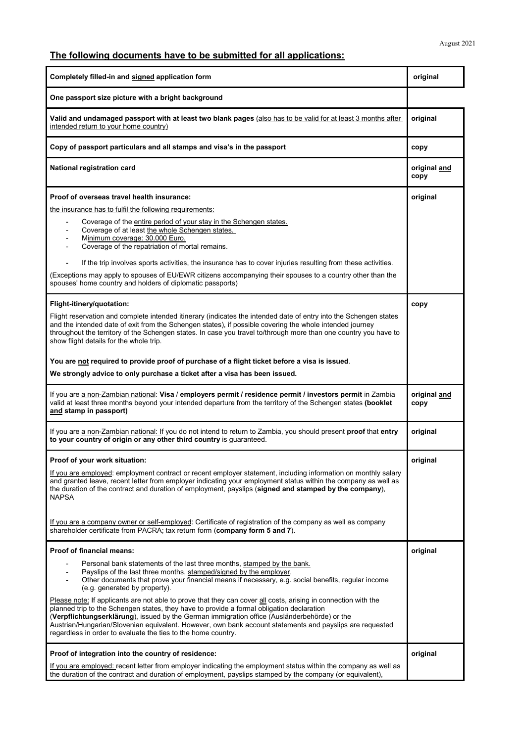# **The following documents have to be submitted for all applications:**

| Completely filled-in and signed application form                                                                                                                                                                                                                                                                                                                                                                                                                                                                                                                                                                                                                                                                                                                                 |                      |
|----------------------------------------------------------------------------------------------------------------------------------------------------------------------------------------------------------------------------------------------------------------------------------------------------------------------------------------------------------------------------------------------------------------------------------------------------------------------------------------------------------------------------------------------------------------------------------------------------------------------------------------------------------------------------------------------------------------------------------------------------------------------------------|----------------------|
| One passport size picture with a bright background                                                                                                                                                                                                                                                                                                                                                                                                                                                                                                                                                                                                                                                                                                                               |                      |
| Valid and undamaged passport with at least two blank pages (also has to be valid for at least 3 months after<br>intended return to your home country)                                                                                                                                                                                                                                                                                                                                                                                                                                                                                                                                                                                                                            |                      |
| Copy of passport particulars and all stamps and visa's in the passport                                                                                                                                                                                                                                                                                                                                                                                                                                                                                                                                                                                                                                                                                                           | copy                 |
| National registration card                                                                                                                                                                                                                                                                                                                                                                                                                                                                                                                                                                                                                                                                                                                                                       | original and<br>copy |
| Proof of overseas travel health insurance:                                                                                                                                                                                                                                                                                                                                                                                                                                                                                                                                                                                                                                                                                                                                       | original             |
| the insurance has to fulfil the following requirements:<br>Coverage of the entire period of your stay in the Schengen states.<br>Coverage of at least the whole Schengen states.<br>Minimum coverage: 30.000 Euro.<br>$\overline{\phantom{a}}$<br>Coverage of the repatriation of mortal remains.<br>If the trip involves sports activities, the insurance has to cover injuries resulting from these activities.<br>(Exceptions may apply to spouses of EU/EWR citizens accompanying their spouses to a country other than the<br>spouses' home country and holders of diplomatic passports)                                                                                                                                                                                    |                      |
| Flight-itinery/quotation:<br>Flight reservation and complete intended itinerary (indicates the intended date of entry into the Schengen states<br>and the intended date of exit from the Schengen states), if possible covering the whole intended journey<br>throughout the territory of the Schengen states. In case you travel to/through more than one country you have to<br>show flight details for the whole trip.<br>You are not required to provide proof of purchase of a flight ticket before a visa is issued.                                                                                                                                                                                                                                                       | copy                 |
| We strongly advice to only purchase a ticket after a visa has been issued.                                                                                                                                                                                                                                                                                                                                                                                                                                                                                                                                                                                                                                                                                                       |                      |
| If you are a non-Zambian national: Visa / employers permit / residence permit / investors permit in Zambia<br>valid at least three months beyond your intended departure from the territory of the Schengen states (booklet<br>and stamp in passport)                                                                                                                                                                                                                                                                                                                                                                                                                                                                                                                            |                      |
| If you are a non-Zambian national: If you do not intend to return to Zambia, you should present proof that entry<br>to your country of origin or any other third country is guaranteed.                                                                                                                                                                                                                                                                                                                                                                                                                                                                                                                                                                                          |                      |
| <b>Proof of your work situation:</b><br>If you are employed: employment contract or recent employer statement, including information on monthly salary<br>and granted leave, recent letter from employer indicating your employment status within the company as well as<br>the duration of the contract and duration of employment, payslips (signed and stamped by the company),<br><b>NAPSA</b><br>If you are a company owner or self-employed: Certificate of registration of the company as well as company<br>shareholder certificate from PACRA; tax return form (company form 5 and 7).                                                                                                                                                                                  | original             |
| <b>Proof of financial means:</b>                                                                                                                                                                                                                                                                                                                                                                                                                                                                                                                                                                                                                                                                                                                                                 | original             |
| Personal bank statements of the last three months, stamped by the bank.<br>Payslips of the last three months, stamped/signed by the employer.<br>Other documents that prove your financial means if necessary, e.g. social benefits, regular income<br>(e.g. generated by property).<br>Please note: If applicants are not able to prove that they can cover all costs, arising in connection with the<br>planned trip to the Schengen states, they have to provide a formal obligation declaration<br>(Verpflichtungserklärung), issued by the German immigration office (Ausländerbehörde) or the<br>Austrian/Hungarian/Slovenian equivalent. However, own bank account statements and payslips are requested<br>regardless in order to evaluate the ties to the home country. |                      |
| Proof of integration into the country of residence:                                                                                                                                                                                                                                                                                                                                                                                                                                                                                                                                                                                                                                                                                                                              | original             |
| If you are employed: recent letter from employer indicating the employment status within the company as well as<br>the duration of the contract and duration of employment, payslips stamped by the company (or equivalent),                                                                                                                                                                                                                                                                                                                                                                                                                                                                                                                                                     |                      |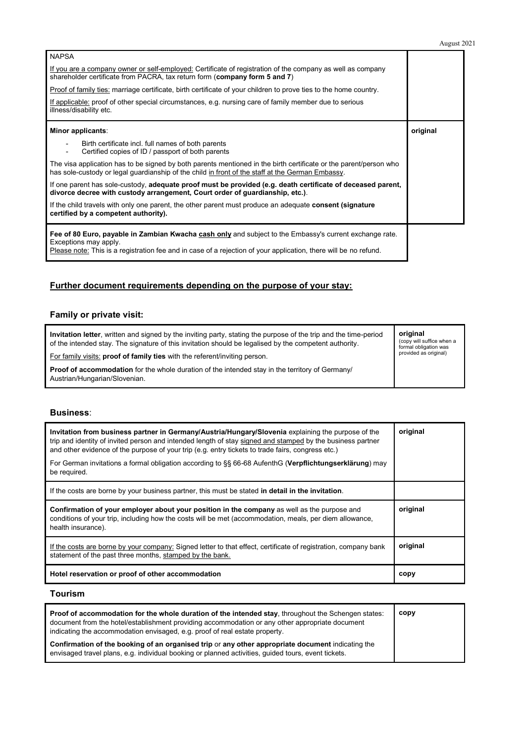| <b>NAPSA</b>                                                                                                                                                                                                                                         |          |
|------------------------------------------------------------------------------------------------------------------------------------------------------------------------------------------------------------------------------------------------------|----------|
| If you are a company owner or self-employed: Certificate of registration of the company as well as company<br>shareholder certificate from PACRA, tax return form (company form 5 and 7)                                                             |          |
| Proof of family ties: marriage certificate, birth certificate of your children to prove ties to the home country.                                                                                                                                    |          |
| If applicable: proof of other special circumstances, e.g. nursing care of family member due to serious<br>illness/disability etc.                                                                                                                    |          |
| Minor applicants:                                                                                                                                                                                                                                    | original |
| Birth certificate incl. full names of both parents<br>Certified copies of ID / passport of both parents                                                                                                                                              |          |
| The visa application has to be signed by both parents mentioned in the birth certificate or the parent/person who<br>has sole-custody or legal guardianship of the child in front of the staff at the German Embassy.                                |          |
| If one parent has sole-custody, adequate proof must be provided (e.g. death certificate of deceased parent,<br>divorce decree with custody arrangement, Court order of guardianship, etc.).                                                          |          |
| If the child travels with only one parent, the other parent must produce an adequate consent (signature<br>certified by a competent authority).                                                                                                      |          |
| Fee of 80 Euro, payable in Zambian Kwacha cash only and subject to the Embassy's current exchange rate.<br>Exceptions may apply.<br>Please note: This is a registration fee and in case of a rejection of your application, there will be no refund. |          |

# **Further document requirements depending on the purpose of your stay:**

# **Family or private visit:**

| Invitation letter, written and signed by the inviting party, stating the purpose of the trip and the time-period<br>of the intended stay. The signature of this invitation should be legalised by the competent authority. | original<br>(copy will suffice when a<br>formal obligation was |
|----------------------------------------------------------------------------------------------------------------------------------------------------------------------------------------------------------------------------|----------------------------------------------------------------|
| For family visits: <b>proof of family ties</b> with the referent/inviting person.                                                                                                                                          | provided as original)                                          |
| <b>Proof of accommodation</b> for the whole duration of the intended stay in the territory of Germany/<br>Austrian/Hungarian/Slovenian.                                                                                    |                                                                |

## **Business**:

| Invitation from business partner in Germany/Austria/Hungary/Slovenia explaining the purpose of the<br>trip and identity of invited person and intended length of stay signed and stamped by the business partner<br>and other evidence of the purpose of your trip (e.g. entry tickets to trade fairs, congress etc.)<br>For German invitations a formal obligation according to §§ 66-68 AufenthG (Verpflichtungserklärung) may | original |
|----------------------------------------------------------------------------------------------------------------------------------------------------------------------------------------------------------------------------------------------------------------------------------------------------------------------------------------------------------------------------------------------------------------------------------|----------|
| be required.                                                                                                                                                                                                                                                                                                                                                                                                                     |          |
| If the costs are borne by your business partner, this must be stated in detail in the invitation.                                                                                                                                                                                                                                                                                                                                |          |
| Confirmation of your employer about your position in the company as well as the purpose and<br>conditions of your trip, including how the costs will be met (accommodation, meals, per diem allowance,<br>health insurance).                                                                                                                                                                                                     | original |
| If the costs are borne by your company: Signed letter to that effect, certificate of registration, company bank<br>statement of the past three months, stamped by the bank.                                                                                                                                                                                                                                                      | original |
|                                                                                                                                                                                                                                                                                                                                                                                                                                  |          |

## **Tourism**

| Proof of accommodation for the whole duration of the intended stay, throughout the Schengen states:<br>document from the hotel/establishment providing accommodation or any other appropriate document<br>indicating the accommodation envisaged, e.g. proof of real estate property. | copy |
|---------------------------------------------------------------------------------------------------------------------------------------------------------------------------------------------------------------------------------------------------------------------------------------|------|
| Confirmation of the booking of an organised trip or any other appropriate document indicating the<br>envisaged travel plans, e.g. individual booking or planned activities, guided tours, event tickets.                                                                              |      |